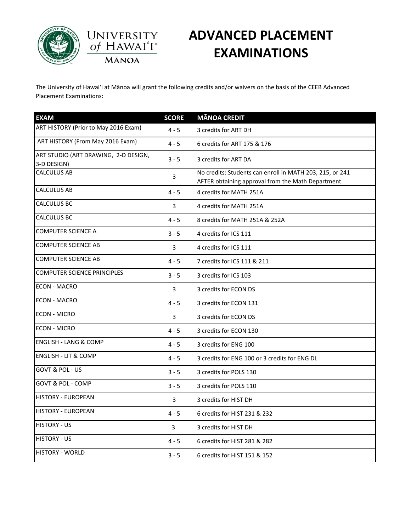



### **ADVANCED PLACEMENT EXAMINATIONS**

The University of Hawai'i at Mānoa will grant the following credits and/or waivers on the basis of the CEEB Advanced Placement Examinations:

| <b>EXAM</b>                                         | <b>SCORE</b> | <b>MĀNOA CREDIT</b>                                                                                            |
|-----------------------------------------------------|--------------|----------------------------------------------------------------------------------------------------------------|
| ART HISTORY (Prior to May 2016 Exam)                | $4 - 5$      | 3 credits for ART DH                                                                                           |
| ART HISTORY (From May 2016 Exam)                    | $4 - 5$      | 6 credits for ART 175 & 176                                                                                    |
| ART STUDIO (ART DRAWING, 2-D DESIGN,<br>3-D DESIGN) | $3 - 5$      | 3 credits for ART DA                                                                                           |
| <b>CALCULUS AB</b>                                  | 3            | No credits: Students can enroll in MATH 203, 215, or 241<br>AFTER obtaining approval from the Math Department. |
| <b>CALCULUS AB</b>                                  | $4 - 5$      | 4 credits for MATH 251A                                                                                        |
| <b>CALCULUS BC</b>                                  | 3            | 4 credits for MATH 251A                                                                                        |
| <b>CALCULUS BC</b>                                  | $4 - 5$      | 8 credits for MATH 251A & 252A                                                                                 |
| <b>COMPUTER SCIENCE A</b>                           | $3 - 5$      | 4 credits for ICS 111                                                                                          |
| <b>COMPUTER SCIENCE AB</b>                          | 3            | 4 credits for ICS 111                                                                                          |
| <b>COMPUTER SCIENCE AB</b>                          | $4 - 5$      | 7 credits for ICS 111 & 211                                                                                    |
| <b>COMPUTER SCIENCE PRINCIPLES</b>                  | $3 - 5$      | 3 credits for ICS 103                                                                                          |
| <b>ECON - MACRO</b>                                 | 3            | 3 credits for ECON DS                                                                                          |
| <b>ECON - MACRO</b>                                 | $4 - 5$      | 3 credits for ECON 131                                                                                         |
| <b>ECON - MICRO</b>                                 | 3            | 3 credits for ECON DS                                                                                          |
| <b>ECON - MICRO</b>                                 | $4 - 5$      | 3 credits for ECON 130                                                                                         |
| <b>ENGLISH - LANG &amp; COMP</b>                    | $4 - 5$      | 3 credits for ENG 100                                                                                          |
| <b>ENGLISH - LIT &amp; COMP</b>                     | $4 - 5$      | 3 credits for ENG 100 or 3 credits for ENG DL                                                                  |
| GOVT & POL - US                                     | $3 - 5$      | 3 credits for POLS 130                                                                                         |
| <b>GOVT &amp; POL - COMP</b>                        | $3 - 5$      | 3 credits for POLS 110                                                                                         |
| <b>HISTORY - EUROPEAN</b>                           | 3            | 3 credits for HIST DH                                                                                          |
| <b>HISTORY - EUROPEAN</b>                           | $4 - 5$      | 6 credits for HIST 231 & 232                                                                                   |
| <b>HISTORY - US</b>                                 | 3            | 3 credits for HIST DH                                                                                          |
| <b>HISTORY - US</b>                                 | $4 - 5$      | 6 credits for HIST 281 & 282                                                                                   |
| <b>HISTORY - WORLD</b>                              | $3 - 5$      | 6 credits for HIST 151 & 152                                                                                   |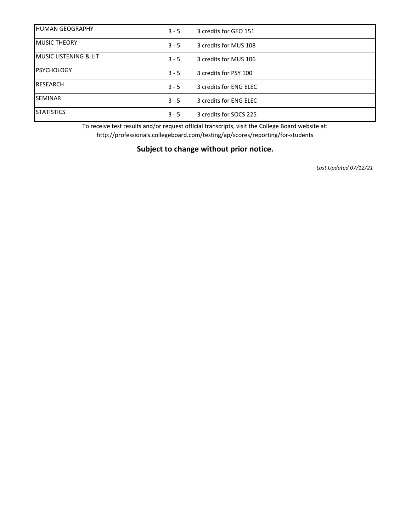| <b>HUMAN GEOGRAPHY</b>            | $3 - 5$ | 3 credits for GEO 151  |
|-----------------------------------|---------|------------------------|
| <b>MUSIC THEORY</b>               | $3 - 5$ | 3 credits for MUS 108  |
| <b>IMUSIC LISTENING &amp; LIT</b> | $3 - 5$ | 3 credits for MUS 106  |
| <b>PSYCHOLOGY</b>                 | $3 - 5$ | 3 credits for PSY 100  |
| <b>RESEARCH</b>                   | $3 - 5$ | 3 credits for ENG ELEC |
| <b>SEMINAR</b>                    | $3 - 5$ | 3 credits for ENG ELEC |
| <b>STATISTICS</b>                 | $3 - 5$ | 3 credits for SOCS 225 |

To receive test results and/or request official transcripts, visit the College Board website at: http://professionals.collegeboard.com/testing/ap/scores/reporting/for-students

#### **Subject to change without prior notice.**

*Last Updated 07/12/21*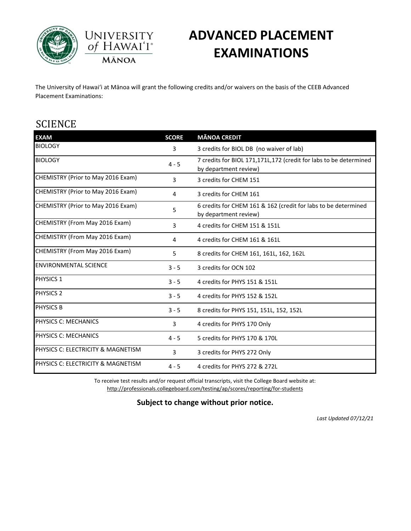



# **ADVANCED PLACEMENT EXAMINATIONS**

The University of Hawai'i at Mānoa will grant the following credits and/or waivers on the basis of the CEEB Advanced Placement Examinations:

### **SCIENCE**

| <b>EXAM</b>                        | <b>SCORE</b> | <b>MĀNOA CREDIT</b>                                                                        |
|------------------------------------|--------------|--------------------------------------------------------------------------------------------|
| <b>BIOLOGY</b>                     | 3            | 3 credits for BIOL DB (no waiver of lab)                                                   |
| <b>BIOLOGY</b>                     | $4 - 5$      | 7 credits for BIOL 171,171L,172 (credit for labs to be determined<br>by department review) |
| CHEMISTRY (Prior to May 2016 Exam) | 3            | 3 credits for CHEM 151                                                                     |
| CHEMISTRY (Prior to May 2016 Exam) | 4            | 3 credits for CHEM 161                                                                     |
| CHEMISTRY (Prior to May 2016 Exam) | 5            | 6 credits for CHEM 161 & 162 (credit for labs to be determined<br>by department review)    |
| CHEMISTRY (From May 2016 Exam)     | 3            | 4 credits for CHEM 151 & 151L                                                              |
| CHEMISTRY (From May 2016 Exam)     | 4            | 4 credits for CHEM 161 & 161L                                                              |
| CHEMISTRY (From May 2016 Exam)     | 5            | 8 credits for CHEM 161, 161L, 162, 162L                                                    |
| <b>ENVIRONMENTAL SCIENCE</b>       | $3 - 5$      | 3 credits for OCN 102                                                                      |
| <b>PHYSICS 1</b>                   | $3 - 5$      | 4 credits for PHYS 151 & 151L                                                              |
| <b>PHYSICS 2</b>                   | $3 - 5$      | 4 credits for PHYS 152 & 152L                                                              |
| <b>PHYSICS B</b>                   | $3 - 5$      | 8 credits for PHYS 151, 151L, 152, 152L                                                    |
| PHYSICS C: MECHANICS               | 3            | 4 credits for PHYS 170 Only                                                                |
| PHYSICS C: MECHANICS               | $4 - 5$      | 5 credits for PHYS 170 & 170L                                                              |
| PHYSICS C: ELECTRICITY & MAGNETISM | 3            | 3 credits for PHYS 272 Only                                                                |
| PHYSICS C: ELECTRICITY & MAGNETISM | $4 - 5$      | 4 credits for PHYS 272 & 272L                                                              |

To receive test results and/or request official transcripts, visit the College Board website at: http://professionals.collegeboard.com/testing/ap/scores/reporting/for-students

#### **Subject to change without prior notice.**

*Last Updated 07/12/21*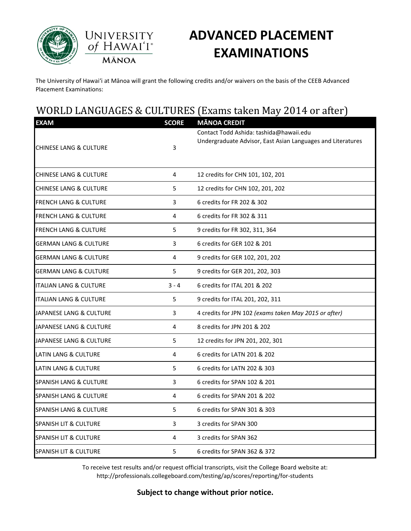



# **ADVANCED PLACEMENT EXAMINATIONS**

The University of Hawai'i at Mānoa will grant the following credits and/or waivers on the basis of the CEEB Advanced Placement Examinations:

### WORLD LANGUAGES & CULTURES (Exams taken May 2014 or after)

| <b>EXAM</b>                       | <b>SCORE</b> | <b>MĀNOA CREDIT</b>                                         |
|-----------------------------------|--------------|-------------------------------------------------------------|
|                                   |              | Contact Todd Ashida: tashida@hawaii.edu                     |
| <b>CHINESE LANG &amp; CULTURE</b> | 3            | Undergraduate Advisor, East Asian Languages and Literatures |
|                                   |              |                                                             |
| <b>CHINESE LANG &amp; CULTURE</b> | 4            | 12 credits for CHN 101, 102, 201                            |
| <b>CHINESE LANG &amp; CULTURE</b> | 5            | 12 credits for CHN 102, 201, 202                            |
| <b>FRENCH LANG &amp; CULTURE</b>  | 3            | 6 credits for FR 202 & 302                                  |
| <b>FRENCH LANG &amp; CULTURE</b>  | 4            | 6 credits for FR 302 & 311                                  |
| <b>FRENCH LANG &amp; CULTURE</b>  | 5            | 9 credits for FR 302, 311, 364                              |
| <b>GERMAN LANG &amp; CULTURE</b>  | 3            | 6 credits for GER 102 & 201                                 |
| <b>GERMAN LANG &amp; CULTURE</b>  | 4            | 9 credits for GER 102, 201, 202                             |
| <b>GERMAN LANG &amp; CULTURE</b>  | 5            | 9 credits for GER 201, 202, 303                             |
| <b>ITALIAN LANG &amp; CULTURE</b> | $3 - 4$      | 6 credits for ITAL 201 & 202                                |
| <b>ITALIAN LANG &amp; CULTURE</b> | 5            | 9 credits for ITAL 201, 202, 311                            |
| JAPANESE LANG & CULTURE           | 3            | 4 credits for JPN 102 (exams taken May 2015 or after)       |
| JAPANESE LANG & CULTURE           | 4            | 8 credits for JPN 201 & 202                                 |
| JAPANESE LANG & CULTURE           | 5            | 12 credits for JPN 201, 202, 301                            |
| <b>LATIN LANG &amp; CULTURE</b>   | 4            | 6 credits for LATN 201 & 202                                |
| <b>LATIN LANG &amp; CULTURE</b>   | 5            | 6 credits for LATN 202 & 303                                |
| <b>SPANISH LANG &amp; CULTURE</b> | 3            | 6 credits for SPAN 102 & 201                                |
| <b>SPANISH LANG &amp; CULTURE</b> | 4            | 6 credits for SPAN 201 & 202                                |
| <b>SPANISH LANG &amp; CULTURE</b> | 5            | 6 credits for SPAN 301 & 303                                |
| <b>SPANISH LIT &amp; CULTURE</b>  | 3            | 3 credits for SPAN 300                                      |
| SPANISH LIT & CULTURE             | 4            | 3 credits for SPAN 362                                      |
| <b>SPANISH LIT &amp; CULTURE</b>  | 5            | 6 credits for SPAN 362 & 372                                |

To receive test results and/or request official transcripts, visit the College Board website at: http://professionals.collegeboard.com/testing/ap/scores/reporting/for-students

#### **Subject to change without prior notice.**